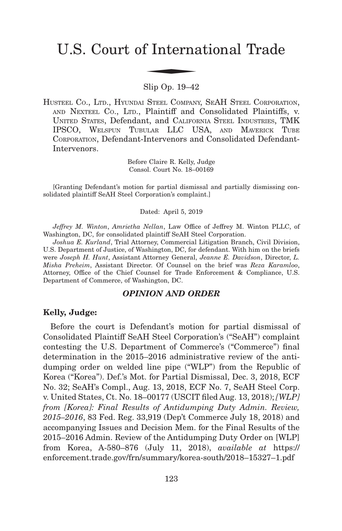# U.S. Court of International Trade f Interna

Slip Op. 19–42

HUSTEEL CO., LTD., HYUNDAI STEEL COMPANY, SEAH STEEL CORPORATION, AND NEXTEEL CO., LTD., Plaintiff and Consolidated Plaintiffs, v. UNITED STATES, Defendant, and CALIFORNIA STEEL INDUSTRIES, TMK IPSCO, WELSPUN TUBULAR LLC USA, AND MAVERICK TUBE CORPORATION, Defendant-Intervenors and Consolidated Defendant-Intervenors.

> Before Claire R. Kelly, Judge Consol. Court No. 18–00169

[Granting Defendant's motion for partial dismissal and partially dismissing consolidated plaintiff SeAH Steel Corporation's complaint.]

Dated: April 5, 2019

*Jeffrey M. Winton*, *Amrietha Nellan*, Law Office of Jeffrey M. Winton PLLC, of Washington, DC, for consolidated plaintiff SeAH Steel Corporation.

*Joshua E. Kurland*, Trial Attorney, Commercial Litigation Branch, Civil Division, U.S. Department of Justice, of Washington, DC, for defendant. With him on the briefs were *Joseph H. Hunt*, Assistant Attorney General, *Jeanne E. Davidson*, Director, *L. Misha Preheim*, Assistant Director. Of Counsel on the brief was *Reza Karamloo*, Attorney, Office of the Chief Counsel for Trade Enforcement & Compliance, U.S. Department of Commerce, of Washington, DC.

#### *OPINION AND ORDER*

#### **Kelly, Judge:**

Before the court is Defendant's motion for partial dismissal of Consolidated Plaintiff SeAH Steel Corporation's ("SeAH") complaint contesting the U.S. Department of Commerce's ("Commerce") final determination in the 2015–2016 administrative review of the antidumping order on welded line pipe ("WLP") from the Republic of Korea ("Korea"). Def.'s Mot. for Partial Dismissal, Dec. 3, 2018, ECF No. 32; SeAH's Compl., Aug. 13, 2018, ECF No. 7, SeAH Steel Corp. v. United States, Ct. No. 18–00177 (USCIT filed Aug. 13, 2018); *[WLP] from [Korea]: Final Results of Antidumping Duty Admin. Review, 2015–2016*, 83 Fed. Reg. 33,919 (Dep't Commerce July 18, 2018) and accompanying Issues and Decision Mem. for the Final Results of the 2015–2016 Admin. Review of the Antidumping Duty Order on [WLP] from Korea, A-580–876 (July 11, 2018), *available at* https:// enforcement.trade.gov/frn/summary/korea-south/2018–15327–1.pdf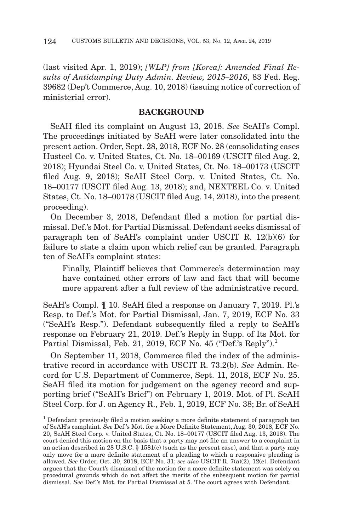(last visited Apr. 1, 2019); *[WLP] from [Korea]: Amended Final Results of Antidumping Duty Admin. Review, 2015–2016*, 83 Fed. Reg. 39682 (Dep't Commerce, Aug. 10, 2018) (issuing notice of correction of ministerial error).

## **BACKGROUND**

SeAH filed its complaint on August 13, 2018. *See* SeAH's Compl. The proceedings initiated by SeAH were later consolidated into the present action. Order, Sept. 28, 2018, ECF No. 28 (consolidating cases Husteel Co. v. United States, Ct. No. 18–00169 (USCIT filed Aug. 2, 2018); Hyundai Steel Co. v. United States, Ct. No. 18–00173 (USCIT filed Aug. 9, 2018); SeAH Steel Corp. v. United States, Ct. No. 18–00177 (USCIT filed Aug. 13, 2018); and, NEXTEEL Co. v. United States, Ct. No. 18–00178 (USCIT filed Aug. 14, 2018), into the present proceeding).

On December 3, 2018, Defendant filed a motion for partial dismissal. Def.'s Mot. for Partial Dismissal. Defendant seeks dismissal of paragraph ten of SeAH's complaint under USCIT R. 12(b)(6) for failure to state a claim upon which relief can be granted. Paragraph ten of SeAH's complaint states:

Finally, Plaintiff believes that Commerce's determination may have contained other errors of law and fact that will become more apparent after a full review of the administrative record.

SeAH's Compl. ¶ 10. SeAH filed a response on January 7, 2019. Pl.'s Resp. to Def.'s Mot. for Partial Dismissal, Jan. 7, 2019, ECF No. 33 ("SeAH's Resp."). Defendant subsequently filed a reply to SeAH's response on February 21, 2019. Def.'s Reply in Supp. of Its Mot. for Partial Dismissal, Feb. 21, 2019, ECF No. 45 ("Def.'s Reply").<sup>1</sup>

On September 11, 2018, Commerce filed the index of the administrative record in accordance with USCIT R. 73.2(b). *See* Admin. Record for U.S. Department of Commerce, Sept. 11, 2018, ECF No. 25. SeAH filed its motion for judgement on the agency record and supporting brief ("SeAH's Brief") on February 1, 2019. Mot. of Pl. SeAH Steel Corp. for J. on Agency R., Feb. 1, 2019, ECF No. 38; Br. of SeAH

<sup>1</sup> Defendant previously filed a motion seeking a more definite statement of paragraph ten of SeAH's complaint. *See* Def.'s Mot. for a More Definite Statement, Aug. 30, 2018, ECF No. 20, SeAH Steel Corp. v. United States, Ct. No. 18–00177 (USCIT filed Aug. 13, 2018). The court denied this motion on the basis that a party may not file an answer to a complaint in an action described in 28 U.S.C.  $\S$  1581(c) (such as the present case), and that a party may only move for a more definite statement of a pleading to which a responsive pleading is allowed. *See* Order, Oct. 30, 2018, ECF No. 31; *see also* USCIT R. 7(a)(2), 12(e). Defendant argues that the Court's dismissal of the motion for a more definite statement was solely on procedural grounds which do not affect the merits of the subsequent motion for partial dismissal. *See* Def.'s Mot. for Partial Dismissal at 5. The court agrees with Defendant.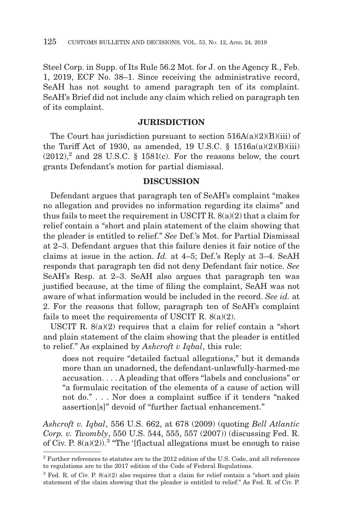Steel Corp. in Supp. of Its Rule 56.2 Mot. for J. on the Agency R., Feb. 1, 2019, ECF No. 38–1. Since receiving the administrative record, SeAH has not sought to amend paragraph ten of its complaint. SeAH's Brief did not include any claim which relied on paragraph ten of its complaint.

#### **JURISDICTION**

The Court has jurisdiction pursuant to section  $516A(a)(2)(B)(iii)$  of the Tariff Act of 1930, as amended, 19 U.S.C.  $\S$  1516a(a)(2)(B)(iii)  $(2012),^2$  and 28 U.S.C. § 1581(c). For the reasons below, the court grants Defendant's motion for partial dismissal.

### **DISCUSSION**

Defendant argues that paragraph ten of SeAH's complaint "makes no allegation and provides no information regarding its claims" and thus fails to meet the requirement in USCIT R. 8(a)(2) that a claim for relief contain a "short and plain statement of the claim showing that the pleader is entitled to relief." *See* Def.'s Mot. for Partial Dismissal at 2–3. Defendant argues that this failure denies it fair notice of the claims at issue in the action. *Id.* at 4–5; Def.'s Reply at 3–4. SeAH responds that paragraph ten did not deny Defendant fair notice. *See* SeAH's Resp. at 2–3. SeAH also argues that paragraph ten was justified because, at the time of filing the complaint, SeAH was not aware of what information would be included in the record. *See id.* at 2. For the reasons that follow, paragraph ten of SeAH's complaint fails to meet the requirements of USCIT R.  $8(a)(2)$ .

USCIT R. 8(a)(2) requires that a claim for relief contain a "short and plain statement of the claim showing that the pleader is entitled to relief." As explained by *Ashcroft v Iqbal*, this rule:

does not require "detailed factual allegations," but it demands more than an unadorned, the defendant-unlawfully-harmed-me accusation. . . . A pleading that offers "labels and conclusions" or "a formulaic recitation of the elements of a cause of action will not do." . . . Nor does a complaint suffice if it tenders "naked assertion[s]" devoid of "further factual enhancement."

*Ashcroft v. Iqbal*, 556 U.S. 662, at 678 (2009) (quoting *Bell Atlantic Corp. v. Twombly*, 550 U.S. 544, 555, 557 (2007)) (discussing Fed. R. of Civ. P.  $8(a)(2)$ .<sup>3</sup> "The '[f]actual allegations must be enough to raise

 $^2$  Further references to statutes are to the 2012 edition of the U.S. Code, and all references to regulations are to the 2017 edition of the Code of Federal Regulations.

 $3$  Fed. R. of Civ. P.  $8(a)(2)$  also requires that a claim for relief contain a "short and plain" statement of the claim showing that the pleader is entitled to relief." As Fed. R. of Civ. P.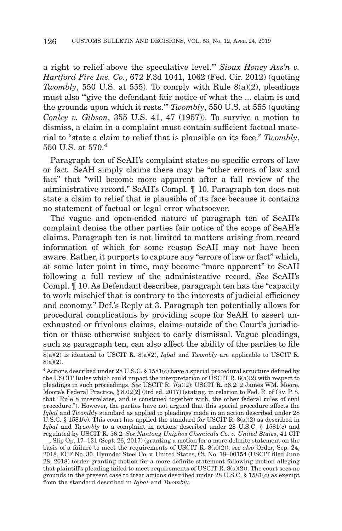a right to relief above the speculative level.'" *Sioux Honey Ass'n v. Hartford Fire Ins. Co.*, 672 F.3d 1041, 1062 (Fed. Cir. 2012) (quoting *Twombly*, 550 U.S. at 555). To comply with Rule 8(a)(2), pleadings must also ""give the defendant fair notice of what the ... claim is and the grounds upon which it rests.'" *Twombly*, 550 U.S. at 555 (quoting *Conley v. Gibson*, 355 U.S. 41, 47 (1957)). To survive a motion to dismiss, a claim in a complaint must contain sufficient factual material to "state a claim to relief that is plausible on its face." *Twombly*, 550 U.S. at 570<sup>4</sup>

Paragraph ten of SeAH's complaint states no specific errors of law or fact. SeAH simply claims there may be "other errors of law and fact" that "will become more apparent after a full review of the administrative record." SeAH's Compl. ¶ 10. Paragraph ten does not state a claim to relief that is plausible of its face because it contains no statement of factual or legal error whatsoever.

The vague and open-ended nature of paragraph ten of SeAH's complaint denies the other parties fair notice of the scope of SeAH's claims. Paragraph ten is not limited to matters arising from record information of which for some reason SeAH may not have been aware. Rather, it purports to capture any "errors of law or fact" which, at some later point in time, may become "more apparent" to SeAH following a full review of the administrative record. *See* SeAH's Compl. ¶ 10. As Defendant describes, paragraph ten has the "capacity to work mischief that is contrary to the interests of judicial efficiency and economy." Def.'s Reply at 3. Paragraph ten potentially allows for procedural complications by providing scope for SeAH to assert unexhausted or frivolous claims, claims outside of the Court's jurisdiction or those otherwise subject to early dismissal. Vague pleadings, such as paragraph ten, can also affect the ability of the parties to file 8(a)(2) is identical to USCIT R. 8(a)(2), *Iqbal* and *Twombly* are applicable to USCIT R. 8(a)(2).

<sup>4</sup> Actions described under 28 U.S.C. § 1581(c) have a special procedural structure defined by the USCIT Rules which could impact the interpretation of USCIT R. 8(a)(2) with respect to pleadings in such proceedings. *See* USCIT R. 7(a)(2); USCIT R. 56.2; 2 James WM. Moore, Moore's Federal Practice, § 8.02[2] (3rd ed. 2017) (stating, in relation to Fed. R. of Civ. P. 8, that "Rule 8 interrelates, and is construed together with, the other federal rules of civil procedure."). However, the parties have not argued that this special procedure affects the *Iqbal* and *Twombly* standard as applied to pleadings made in an action described under 28 U.S.C. § 1581(c). This court has applied the standard for USCIT R.  $8(a)(2)$  as described in *Iqbal* and *Twombly* to a complaint in actions described under 28 U.S.C. § 1581(c) and regulated by USCIT R. 56.2. *See Nantong Uniphos Chemicals Co. v. United States*, 41 CIT

\_\_, Slip Op. 17–131 (Sept. 26, 2017) (granting a motion for a more definite statement on the basis of a failure to meet the requirements of USCIT R. 8(a)(2)); *see also* Order, Sep. 24, 2018, ECF No. 30, Hyundai Steel Co. v. United States, Ct. No. 18–00154 (USCIT filed June 28, 2018) (order granting motion for a more definite statement following motion alleging that plaintiff's pleading failed to meet requirements of USCIT R.  $8(a)(2)$ ). The court sees no grounds in the present case to treat actions described under 28 U.S.C. § 1581(c) as exempt from the standard described in *Iqbal* and *Twombly*.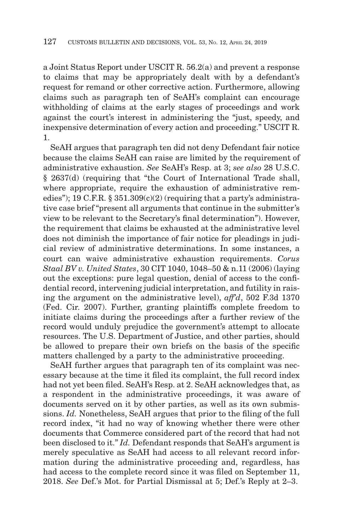a Joint Status Report under USCIT R. 56.2(a) and prevent a response to claims that may be appropriately dealt with by a defendant's request for remand or other corrective action. Furthermore, allowing claims such as paragraph ten of SeAH's complaint can encourage withholding of claims at the early stages of proceedings and work against the court's interest in administering the "just, speedy, and inexpensive determination of every action and proceeding." USCIT R. 1.

SeAH argues that paragraph ten did not deny Defendant fair notice because the claims SeAH can raise are limited by the requirement of administrative exhaustion. *See* SeAH's Resp. at 3; *see also* 28 U.S.C. § 2637(d) (requiring that "the Court of International Trade shall, where appropriate, require the exhaustion of administrative remedies"); 19 C.F.R. §  $351.309(c)(2)$  (requiring that a party's administrative case brief "present all arguments that continue in the submitter's view to be relevant to the Secretary's final determination"). However, the requirement that claims be exhausted at the administrative level does not diminish the importance of fair notice for pleadings in judicial review of administrative determinations. In some instances, a court can waive administrative exhaustion requirements. *Corus Staal BV v. United States*, 30 CIT 1040, 1048–50 & n.11 (2006) (laying out the exceptions: pure legal question, denial of access to the confidential record, intervening judicial interpretation, and futility in raising the argument on the administrative level), *aff'd*, 502 F.3d 1370 (Fed. Cir. 2007). Further, granting plaintiffs complete freedom to initiate claims during the proceedings after a further review of the record would unduly prejudice the government's attempt to allocate resources. The U.S. Department of Justice, and other parties, should be allowed to prepare their own briefs on the basis of the specific matters challenged by a party to the administrative proceeding.

SeAH further argues that paragraph ten of its complaint was necessary because at the time it filed its complaint, the full record index had not yet been filed. SeAH's Resp. at 2. SeAH acknowledges that, as a respondent in the administrative proceedings, it was aware of documents served on it by other parties, as well as its own submissions. *Id.* Nonetheless, SeAH argues that prior to the filing of the full record index, "it had no way of knowing whether there were other documents that Commerce considered part of the record that had not been disclosed to it." *Id.* Defendant responds that SeAH's argument is merely speculative as SeAH had access to all relevant record information during the administrative proceeding and, regardless, has had access to the complete record since it was filed on September 11, 2018. *See* Def.'s Mot. for Partial Dismissal at 5; Def.'s Reply at 2–3.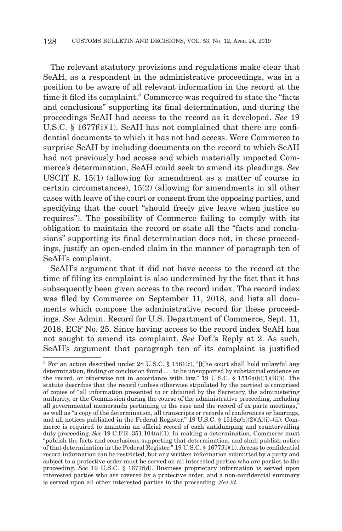The relevant statutory provisions and regulations make clear that SeAH, as a respondent in the administrative proceedings, was in a position to be aware of all relevant information in the record at the time it filed its complaint.<sup>5</sup> Commerce was required to state the "facts" and conclusions" supporting its final determination, and during the proceedings SeAH had access to the record as it developed. *See* 19 U.S.C. § 1677f(i)(1). SeAH has not complained that there are confidential documents to which it has not had access. Were Commerce to surprise SeAH by including documents on the record to which SeAH had not previously had access and which materially impacted Commerce's determination, SeAH could seek to amend its pleadings. *See* USCIT R. 15(1) (allowing for amendment as a matter of course in certain circumstances), 15(2) (allowing for amendments in all other cases with leave of the court or consent from the opposing parties, and specifying that the court "should freely give leave when justice so requires"). The possibility of Commerce failing to comply with its obligation to maintain the record or state all the "facts and conclusions" supporting its final determination does not, in these proceedings, justify an open-ended claim in the manner of paragraph ten of SeAH's complaint.

SeAH's argument that it did not have access to the record at the time of filing its complaint is also undermined by the fact that it has subsequently been given access to the record index. The record index was filed by Commerce on September 11, 2018, and lists all documents which compose the administrative record for these proceedings. *See* Admin. Record for U.S. Department of Commerce, Sept. 11, 2018, ECF No. 25. Since having access to the record index SeAH has not sought to amend its complaint. *See* Def.'s Reply at 2. As such, SeAH's argument that paragraph ten of its complaint is justified

<sup>5</sup> For an action described under 28 U.S.C. § 1581(c), "[t]he court shall hold unlawful any determination, finding or conclusion found . . . to be unsupported by substantial evidence on the record, or otherwise not in accordance with law." 19 U.S.C. § 1516a(b)(1)(B)(i). The statute describes that the record (unless otherwise stipulated by the parties) is comprised of copies of "all information presented to or obtained by the Secretary, the administering authority, or the Commission during the course of the administrative proceeding, including all governmental memoranda pertaining to the case and the record of ex parte meetings, as well as "a copy of the determination, all transcripts or records of conferences or hearings, and all notices published in the Federal Register." 19 U.S.C. § 1516a(b)(2)(A)(i)–(ii). Commerce is required to maintain an official record of each antidumping and countervailing duty proceeding. *See* 19 C.F.R. 351.104(a)(1). In making a determination, Commerce must "publish the facts and conclusions supporting that determination, and shall publish notice of that determination in the Federal Register." 19 U.S.C. § 1677f(i)(1). Access to confidential record information can be restricted, but any written information submitted by a party and subject to a protective order must be served on all interested parties who are parties to the proceeding. *See* 19 U.S.C. § 1677f(d). Business proprietary information is served upon interested parties who are covered by a protective order, and a non-confidential summary is served upon all other interested parties in the proceeding. *See id.*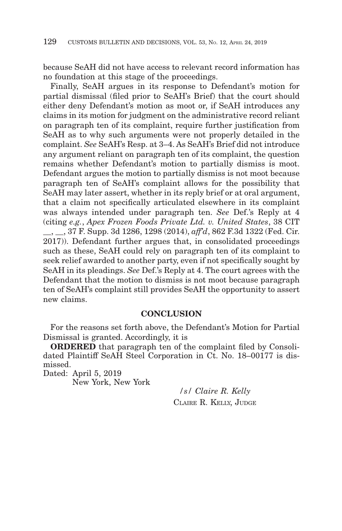because SeAH did not have access to relevant record information has no foundation at this stage of the proceedings.

Finally, SeAH argues in its response to Defendant's motion for partial dismissal (filed prior to SeAH's Brief) that the court should either deny Defendant's motion as moot or, if SeAH introduces any claims in its motion for judgment on the administrative record reliant on paragraph ten of its complaint, require further justification from SeAH as to why such arguments were not properly detailed in the complaint. *See* SeAH's Resp. at 3–4. As SeAH's Brief did not introduce any argument reliant on paragraph ten of its complaint, the question remains whether Defendant's motion to partially dismiss is moot. Defendant argues the motion to partially dismiss is not moot because paragraph ten of SeAH's complaint allows for the possibility that SeAH may later assert, whether in its reply brief or at oral argument, that a claim not specifically articulated elsewhere in its complaint was always intended under paragraph ten. *See* Def.'s Reply at 4 (citing *e.g.*, *Apex Frozen Foods Private Ltd. v. United States*, 38 CIT \_\_, \_\_, 37 F. Supp. 3d 1286, 1298 (2014), *aff'd*, 862 F.3d 1322 (Fed. Cir. 2017)). Defendant further argues that, in consolidated proceedings such as these, SeAH could rely on paragraph ten of its complaint to seek relief awarded to another party, even if not specifically sought by SeAH in its pleadings. *See* Def.'s Reply at 4. The court agrees with the Defendant that the motion to dismiss is not moot because paragraph ten of SeAH's complaint still provides SeAH the opportunity to assert new claims.

## **CONCLUSION**

For the reasons set forth above, the Defendant's Motion for Partial Dismissal is granted. Accordingly, it is

**ORDERED** that paragraph ten of the complaint filed by Consolidated Plaintiff SeAH Steel Corporation in Ct. No. 18–00177 is dismissed.

Dated: April 5, 2019 New York, New York

> */s/ Claire R. Kelly* CLAIRE R. KELLY, JUDGE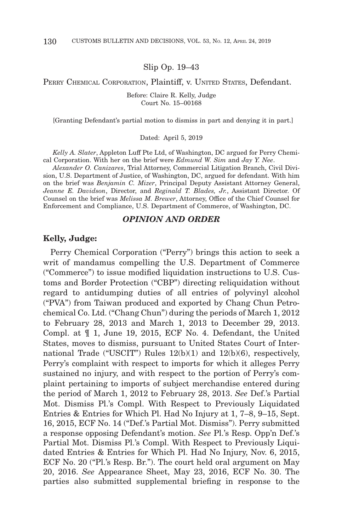#### Slip Op. 19–43

#### PERRY CHEMICAL CORPORATION, Plaintiff, v. UNITED STATES, Defendant.

Before: Claire R. Kelly, Judge Court No. 15–00168

[Granting Defendant's partial motion to dismiss in part and denying it in part.]

#### Dated: April 5, 2019

*Kelly A. Slater*, Appleton Luff Pte Ltd, of Washington, DC argued for Perry Chemical Corporation. With her on the brief were *Edmund W. Sim* and *Jay Y. Nee*.

*Alexander O. Canizares*, Trial Attorney, Commercial Litigation Branch, Civil Division, U.S. Department of Justice, of Washington, DC, argued for defendant. With him on the brief was *Benjamin C. Mizer*, Principal Deputy Assistant Attorney General, *Jeanne E. Davidson*, Director, and *Reginald T. Blades, Jr.*, Assistant Director. Of Counsel on the brief was *Melissa M. Brewer*, Attorney, Office of the Chief Counsel for Enforcement and Compliance, U.S. Department of Commerce, of Washington, DC.

#### *OPINION AND ORDER*

#### **Kelly, Judge:**

Perry Chemical Corporation ("Perry") brings this action to seek a writ of mandamus compelling the U.S. Department of Commerce ("Commerce") to issue modified liquidation instructions to U.S. Customs and Border Protection ("CBP") directing reliquidation without regard to antidumping duties of all entries of polyvinyl alcohol ("PVA") from Taiwan produced and exported by Chang Chun Petrochemical Co. Ltd. ("Chang Chun") during the periods of March 1, 2012 to February 28, 2013 and March 1, 2013 to December 29, 2013. Compl. at ¶ 1, June 19, 2015, ECF No. 4. Defendant, the United States, moves to dismiss, pursuant to United States Court of International Trade ("USCIT") Rules 12(b)(1) and 12(b)(6), respectively, Perry's complaint with respect to imports for which it alleges Perry sustained no injury, and with respect to the portion of Perry's complaint pertaining to imports of subject merchandise entered during the period of March 1, 2012 to February 28, 2013. *See* Def.'s Partial Mot. Dismiss Pl.'s Compl. With Respect to Previously Liquidated Entries & Entries for Which Pl. Had No Injury at 1, 7–8, 9–15, Sept. 16, 2015, ECF No. 14 ("Def.'s Partial Mot. Dismiss"). Perry submitted a response opposing Defendant's motion. *See* Pl.'s Resp. Opp'n Def.'s Partial Mot. Dismiss Pl.'s Compl. With Respect to Previously Liquidated Entries & Entries for Which Pl. Had No Injury, Nov. 6, 2015, ECF No. 20 ("Pl.'s Resp. Br."). The court held oral argument on May 20, 2016. *See* Appearance Sheet, May 23, 2016, ECF No. 30. The parties also submitted supplemental briefing in response to the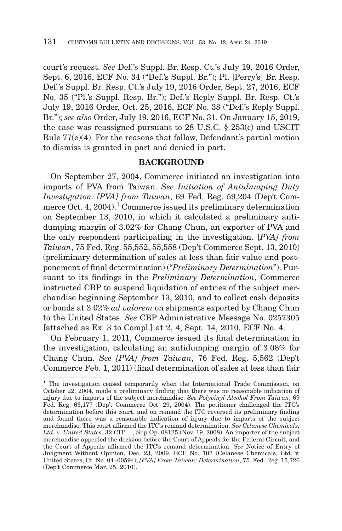court's request. *See* Def.'s Suppl. Br. Resp. Ct.'s July 19, 2016 Order, Sept. 6, 2016, ECF No. 34 ("Def.'s Suppl. Br."); Pl. [Perry's] Br. Resp. Def.'s Suppl. Br. Resp. Ct.'s July 19, 2016 Order, Sept. 27, 2016, ECF No. 35 ("Pl.'s Suppl. Resp. Br."); Def.'s Reply Suppl. Br. Resp. Ct.'s July 19, 2016 Order, Oct. 25, 2016, ECF No. 38 ("Def.'s Reply Suppl. Br."); *see also* Order, July 19, 2016, ECF No. 31. On January 15, 2019, the case was reassigned pursuant to 28 U.S.C. § 253(c) and USCIT Rule 77(e)(4). For the reasons that follow, Defendant's partial motion to dismiss is granted in part and denied in part.

## **BACKGROUND**

On September 27, 2004, Commerce initiated an investigation into imports of PVA from Taiwan. *See Initiation of Antidumping Duty Investigation: [PVA] from Taiwan*, 69 Fed. Reg. 59,204 (Dep't Commerce Oct. 4, 2004).<sup>1</sup> Commerce issued its preliminary determination on September 13, 2010, in which it calculated a preliminary antidumping margin of 3.02% for Chang Chun, an exporter of PVA and the only respondent participating in the investigation. [*PVA] from Taiwan*, 75 Fed. Reg. 55,552, 55,558 (Dep't Commerce Sept. 13, 2010) (preliminary determination of sales at less than fair value and postponement of final determination) ("*Preliminary Determination*"). Pursuant to its findings in the *Preliminary Determination*, Commerce instructed CBP to suspend liquidation of entries of the subject merchandise beginning September 13, 2010, and to collect cash deposits or bonds at 3.02% *ad valorem* on shipments exported by Chang Chun to the United States. *See* CBP Administrative Message No. 0257305 [attached as Ex. 3 to Compl.] at 2, 4, Sept. 14, 2010, ECF No. 4.

On February 1, 2011, Commerce issued its final determination in the investigation, calculating an antidumping margin of 3.08% for Chang Chun. *See [PVA] from Taiwan*, 76 Fed. Reg. 5,562 (Dep't Commerce Feb. 1, 2011) (final determination of sales at less than fair

<sup>1</sup> The investigation ceased temporarily when the International Trade Commission, on October 22, 2004, made a preliminary finding that there was no reasonable indication of injury due to imports of the subject merchandise. *See Polyvinyl Alcohol From Taiwan*, 69 Fed. Reg. 63,177 (Dep't Commerce Oct. 29, 2004). The petitioner challenged the ITC's determination before this court, and on remand the ITC reversed its preliminary finding and found there was a reasonable indication of injury due to imports of the subject merchandise. This court affirmed the ITC's remand determination. *See Celanese Chemicals, Ltd. v. United States*, 32 CIT \_\_, Slip Op. 08125 (Nov. 19, 2008). An importer of the subject merchandise appealed the decision before the Court of Appeals for the Federal Circuit, and the Court of Appeals affirmed the ITC's remand determination. *See* Notice of Entry of Judgment Without Opinion, Dec. 23, 2009, ECF No. 107 (Celanese Chemicals, Ltd. v. United States, Ct. No. 04–00594); *[PVA] From Taiwan; Determination*, 75. Fed. Reg. 15,726 (Dep't Commerce Mar. 25, 2010).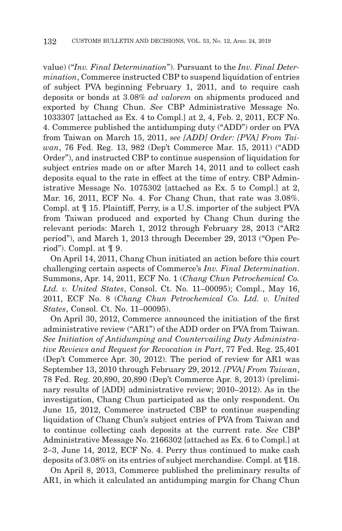value) ("*Inv. Final Determination*"). Pursuant to the *Inv. Final Determination*, Commerce instructed CBP to suspend liquidation of entries of subject PVA beginning February 1, 2011, and to require cash deposits or bonds at 3.08% *ad valorem* on shipments produced and exported by Chang Chun. *See* CBP Administrative Message No. 1033307 [attached as Ex. 4 to Compl.] at 2, 4, Feb. 2, 2011, ECF No. 4. Commerce published the antidumping duty ("ADD") order on PVA from Taiwan on March 15, 2011, *see [ADD] Order: [PVA] From Taiwan*, 76 Fed. Reg. 13, 982 (Dep't Commerce Mar. 15, 2011) ("ADD Order"), and instructed CBP to continue suspension of liquidation for subject entries made on or after March 14, 2011 and to collect cash deposits equal to the rate in effect at the time of entry. CBP Administrative Message No. 1075302 [attached as Ex. 5 to Compl.] at 2, Mar. 16, 2011, ECF No. 4. For Chang Chun, that rate was 3.08%. Compl. at ¶ 15. Plaintiff, Perry, is a U.S. importer of the subject PVA from Taiwan produced and exported by Chang Chun during the relevant periods: March 1, 2012 through February 28, 2013 ("AR2 period"), and March 1, 2013 through December 29, 2013 ("Open Period"). Compl. at ¶ 9.

On April 14, 2011, Chang Chun initiated an action before this court challenging certain aspects of Commerce's *Inv. Final Determination*. Summons, Apr. 14, 2011, ECF No. 1 (*Chang Chun Petrochemical Co. Ltd. v. United States*, Consol. Ct. No. 11–00095); Compl., May 16, 2011, ECF No. 8 (*Chang Chun Petrochemical Co. Ltd. v. United States*, Consol. Ct. No. 11–00095).

On April 30, 2012, Commerce announced the initiation of the first administrative review ("AR1") of the ADD order on PVA from Taiwan. *See Initiation of Antidumping and Countervailing Duty Administrative Reviews and Request for Revocation in Part*, 77 Fed. Reg. 25,401 (Dep't Commerce Apr. 30, 2012). The period of review for AR1 was September 13, 2010 through February 29, 2012. *[PVA] From Taiwan*, 78 Fed. Reg. 20,890, 20,890 (Dep't Commerce Apr. 8, 2013) (preliminary results of [ADD] administrative review; 2010–2012). As in the investigation, Chang Chun participated as the only respondent. On June 15, 2012, Commerce instructed CBP to continue suspending liquidation of Chang Chun's subject entries of PVA from Taiwan and to continue collecting cash deposits at the current rate. *See* CBP Administrative Message No. 2166302 [attached as Ex. 6 to Compl.] at 2–3, June 14, 2012, ECF No. 4. Perry thus continued to make cash deposits of 3.08% on its entries of subject merchandise. Compl. at ¶18.

On April 8, 2013, Commerce published the preliminary results of AR1, in which it calculated an antidumping margin for Chang Chun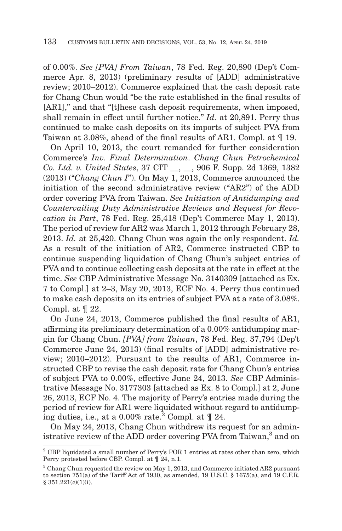of 0.00%. *See [PVA] From Taiwan*, 78 Fed. Reg. 20,890 (Dep't Commerce Apr. 8, 2013) (preliminary results of [ADD] administrative review; 2010–2012). Commerce explained that the cash deposit rate for Chang Chun would "be the rate established in the final results of [AR1]," and that "[t]hese cash deposit requirements, when imposed, shall remain in effect until further notice." *Id.* at 20,891. Perry thus continued to make cash deposits on its imports of subject PVA from Taiwan at 3.08%, ahead of the final results of AR1. Compl. at ¶ 19.

On April 10, 2013, the court remanded for further consideration Commerce's *Inv. Final Determination*. *Chang Chun Petrochemical Co. Ltd. v. United States*, 37 CIT \_\_, \_\_, 906 F. Supp. 2d 1369, 1382 (2013) ("*Chang Chun I*"). On May 1, 2013, Commerce announced the initiation of the second administrative review ("AR2") of the ADD order covering PVA from Taiwan. *See Initiation of Antidumping and Countervailing Duty Administrative Reviews and Request for Revocation in Part*, 78 Fed. Reg. 25,418 (Dep't Commerce May 1, 2013). The period of review for AR2 was March 1, 2012 through February 28, 2013. *Id.* at 25,420. Chang Chun was again the only respondent. *Id.* As a result of the initiation of AR2, Commerce instructed CBP to continue suspending liquidation of Chang Chun's subject entries of PVA and to continue collecting cash deposits at the rate in effect at the time. *See* CBP Administrative Message No. 3140309 [attached as Ex. 7 to Compl.] at 2–3, May 20, 2013, ECF No. 4. Perry thus continued to make cash deposits on its entries of subject PVA at a rate of 3.08%. Compl. at ¶ 22.

On June 24, 2013, Commerce published the final results of AR1, affirming its preliminary determination of a 0.00% antidumping margin for Chang Chun. *[PVA] from Taiwan*, 78 Fed. Reg. 37,794 (Dep't Commerce June 24, 2013) (final results of [ADD] administrative review; 2010–2012). Pursuant to the results of AR1, Commerce instructed CBP to revise the cash deposit rate for Chang Chun's entries of subject PVA to 0.00%, effective June 24, 2013. *See* CBP Administrative Message No. 3177303 [attached as Ex. 8 to Compl.] at 2, June 26, 2013, ECF No. 4. The majority of Perry's entries made during the period of review for AR1 were liquidated without regard to antidumping duties, i.e., at a 0.00% rate.<sup>2</sup> Compl. at  $\llbracket$  24.

On May 24, 2013, Chang Chun withdrew its request for an administrative review of the ADD order covering PVA from Taiwan,<sup>3</sup> and on

<sup>2</sup> CBP liquidated a small number of Perry's POR 1 entries at rates other than zero, which Perry protested before CBP. Compl. at ¶ 24, n.1.

<sup>3</sup> Chang Chun requested the review on May 1, 2013, and Commerce initiated AR2 pursuant to section  $751(a)$  of the Tariff Act of 1930, as amended, 19 U.S.C. § 1675(a), and 19 C.F.R. § 351.221(c)(1)(i).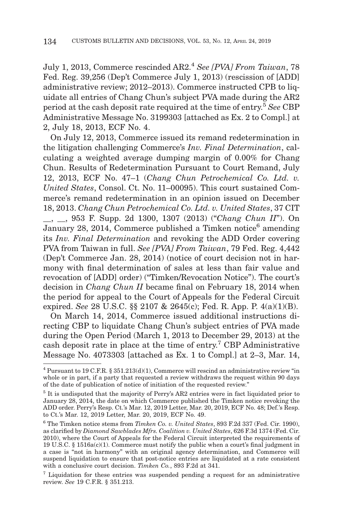July 1, 2013, Commerce rescinded AR2.4 *See [PVA] From Taiwan*, 78 Fed. Reg. 39,256 (Dep't Commerce July 1, 2013) (rescission of [ADD] administrative review; 2012–2013). Commerce instructed CPB to liquidate all entries of Chang Chun's subject PVA made during the AR2 period at the cash deposit rate required at the time of entry.5 *See* CBP Administrative Message No. 3199303 [attached as Ex. 2 to Compl.] at 2, July 18, 2013, ECF No. 4.

On July 12, 2013, Commerce issued its remand redetermination in the litigation challenging Commerce's *Inv. Final Determination*, calculating a weighted average dumping margin of 0.00% for Chang Chun. Results of Redetermination Pursuant to Court Remand, July 12, 2013, ECF No. 47–1 (*Chang Chun Petrochemical Co. Ltd. v. United States*, Consol. Ct. No. 11–00095). This court sustained Commerce's remand redetermination in an opinion issued on December 18, 2013. *Chang Chun Petrochemical Co. Ltd. v. United States*, 37 CIT

\_\_, \_\_, 953 F. Supp. 2d 1300, 1307 (2013) ("*Chang Chun II*"). On January 28, 2014, Commerce published a Timken notice<sup>6</sup> amending its *Inv. Final Determination* and revoking the ADD Order covering PVA from Taiwan in full. *See [PVA] From Taiwan*, 79 Fed. Reg. 4,442 (Dep't Commerce Jan. 28, 2014) (notice of court decision not in harmony with final determination of sales at less than fair value and revocation of [ADD] order) ("Timken/Revocation Notice"). The court's decision in *Chang Chun II* became final on February 18, 2014 when the period for appeal to the Court of Appeals for the Federal Circuit expired. *See* 28 U.S.C. §§ 2107 & 2645(c); Fed. R. App. P. 4(a)(1)(B).

On March 14, 2014, Commerce issued additional instructions directing CBP to liquidate Chang Chun's subject entries of PVA made during the Open Period (March 1, 2013 to December 29, 2013) at the cash deposit rate in place at the time of entry.7 CBP Administrative Message No. 4073303 [attached as Ex. 1 to Compl.] at 2–3, Mar. 14,

 $^4$  Pursuant to 19 C.F.R.  $\S~351.213(d)(1)$ , Commerce will rescind an administrative review "in whole or in part, if a party that requested a review withdraws the request within 90 days of the date of publication of notice of initiation of the requested review."

<sup>&</sup>lt;sup>5</sup> It is undisputed that the majority of Perry's AR2 entries were in fact liquidated prior to January 28, 2014, the date on which Commerce published the Timken notice revoking the ADD order. Perry's Resp. Ct.'s Mar. 12, 2019 Letter, Mar. 20, 2019, ECF No. 48; Def.'s Resp. to Ct.'s Mar. 12, 2019 Letter, Mar. 20, 2019, ECF No. 49.

<sup>6</sup> The Timken notice stems from *Timken Co. v. United States*, 893 F.2d 337 (Fed. Cir. 1990), as clarified by *Diamond Sawblades Mfrs. Coalition v. United States*, 626 F.3d 1374 (Fed. Cir. 2010), where the Court of Appeals for the Federal Circuit interpreted the requirements of 19 U.S.C. § 1516a(c)(1). Commerce must notify the public when a court's final judgment in a case is "not in harmony" with an original agency determination, and Commerce will suspend liquidation to ensure that post-notice entries are liquidated at a rate consistent with a conclusive court decision. *Timken Co.*, 893 F.2d at 341.

<sup>7</sup> Liquidation for these entries was suspended pending a request for an administrative review. *See* 19 C.F.R. § 351.213.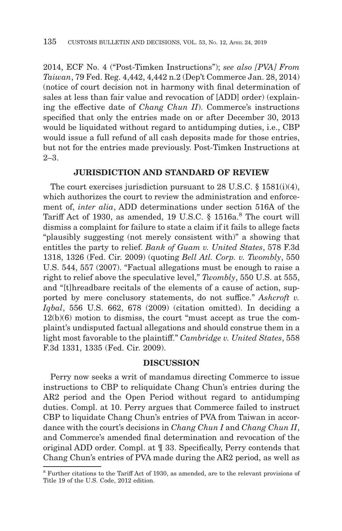2014, ECF No. 4 ("Post-Timken Instructions"); *see also [PVA] From Taiwan*, 79 Fed. Reg. 4,442, 4,442 n.2 (Dep't Commerce Jan. 28, 2014) (notice of court decision not in harmony with final determination of sales at less than fair value and revocation of [ADD] order) (explaining the effective date of *Chang Chun II*). Commerce's instructions specified that only the entries made on or after December 30, 2013 would be liquidated without regard to antidumping duties, i.e., CBP would issue a full refund of all cash deposits made for those entries, but not for the entries made previously. Post-Timken Instructions at 2–3.

## **JURISDICTION AND STANDARD OF REVIEW**

The court exercises jurisdiction pursuant to 28 U.S.C. § 1581(i)(4), which authorizes the court to review the administration and enforcement of, *inter alia*, ADD determinations under section 516A of the Tariff Act of 1930, as amended, 19 U.S.C. § 1516a.<sup>8</sup> The court will dismiss a complaint for failure to state a claim if it fails to allege facts "plausibly suggesting (not merely consistent with)" a showing that entitles the party to relief. *Bank of Guam v. United States*, 578 F.3d 1318, 1326 (Fed. Cir. 2009) (quoting *Bell Atl. Corp. v. Twombly*, 550 U.S. 544, 557 (2007). "Factual allegations must be enough to raise a right to relief above the speculative level," *Twombly*, 550 U.S. at 555, and "[t]hreadbare recitals of the elements of a cause of action, supported by mere conclusory statements, do not suffice." *Ashcroft v. Iqbal*, 556 U.S. 662, 678 (2009) (citation omitted). In deciding a 12(b)(6) motion to dismiss, the court "must accept as true the complaint's undisputed factual allegations and should construe them in a light most favorable to the plaintiff." *Cambridge v. United States*, 558 F.3d 1331, 1335 (Fed. Cir. 2009).

#### **DISCUSSION**

Perry now seeks a writ of mandamus directing Commerce to issue instructions to CBP to reliquidate Chang Chun's entries during the AR2 period and the Open Period without regard to antidumping duties. Compl. at 10. Perry argues that Commerce failed to instruct CBP to liquidate Chang Chun's entries of PVA from Taiwan in accordance with the court's decisions in *Chang Chun I* and *Chang Chun II*, and Commerce's amended final determination and revocation of the original ADD order. Compl. at ¶ 33. Specifically, Perry contends that Chang Chun's entries of PVA made during the AR2 period, as well as

<sup>8</sup> Further citations to the Tariff Act of 1930, as amended, are to the relevant provisions of Title 19 of the U.S. Code, 2012 edition.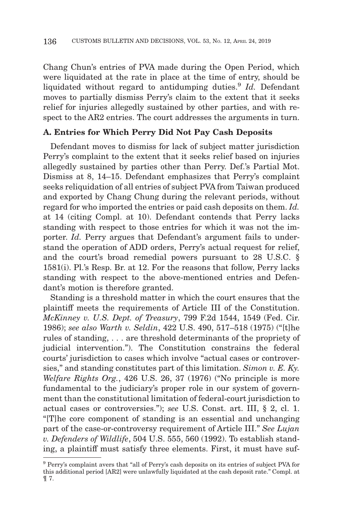Chang Chun's entries of PVA made during the Open Period, which were liquidated at the rate in place at the time of entry, should be liquidated without regard to antidumping duties.<sup>9</sup> *Id.* Defendant moves to partially dismiss Perry's claim to the extent that it seeks relief for injuries allegedly sustained by other parties, and with respect to the AR2 entries. The court addresses the arguments in turn.

## **A. Entries for Which Perry Did Not Pay Cash Deposits**

Defendant moves to dismiss for lack of subject matter jurisdiction Perry's complaint to the extent that it seeks relief based on injuries allegedly sustained by parties other than Perry. Def.'s Partial Mot. Dismiss at 8, 14–15. Defendant emphasizes that Perry's complaint seeks reliquidation of all entries of subject PVA from Taiwan produced and exported by Chang Chung during the relevant periods, without regard for who imported the entries or paid cash deposits on them. *Id.* at 14 (citing Compl. at 10). Defendant contends that Perry lacks standing with respect to those entries for which it was not the importer. *Id.* Perry argues that Defendant's argument fails to understand the operation of ADD orders, Perry's actual request for relief, and the court's broad remedial powers pursuant to 28 U.S.C. § 1581(i). Pl.'s Resp. Br. at 12. For the reasons that follow, Perry lacks standing with respect to the above-mentioned entries and Defendant's motion is therefore granted.

Standing is a threshold matter in which the court ensures that the plaintiff meets the requirements of Article III of the Constitution. *McKinney v. U.S. Dept. of Treasury*, 799 F.2d 1544, 1549 (Fed. Cir. 1986); *see also Warth v. Seldin*, 422 U.S. 490, 517–518 (1975) ("[t]he rules of standing, . . . are threshold determinants of the propriety of judicial intervention."). The Constitution constrains the federal courts' jurisdiction to cases which involve "actual cases or controversies," and standing constitutes part of this limitation. *Simon v. E. Ky. Welfare Rights Org.*, 426 U.S. 26, 37 (1976) ("No principle is more fundamental to the judiciary's proper role in our system of government than the constitutional limitation of federal-court jurisdiction to actual cases or controversies."); *see* U.S. Const. art. III, § 2, cl. 1. "[T]he core component of standing is an essential and unchanging part of the case-or-controversy requirement of Article III." *See Lujan v. Defenders of Wildlife*, 504 U.S. 555, 560 (1992). To establish standing, a plaintiff must satisfy three elements. First, it must have suf-

 $^9$  Perry's complaint avers that "all of Perry's cash deposits on its entries of subject PVA for this additional period [AR2] were unlawfully liquidated at the cash deposit rate." Compl. at ¶ 7.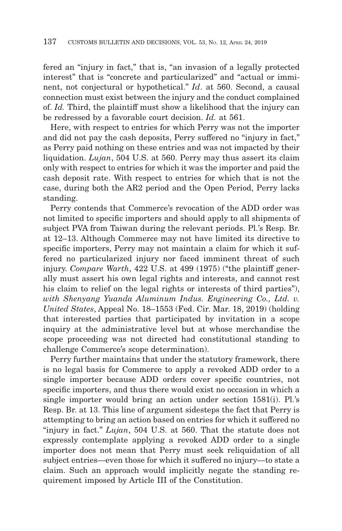fered an "injury in fact," that is, "an invasion of a legally protected interest" that is "concrete and particularized" and "actual or imminent, not conjectural or hypothetical." *Id*. at 560. Second, a causal connection must exist between the injury and the conduct complained of. *Id.* Third, the plaintiff must show a likelihood that the injury can be redressed by a favorable court decision. *Id.* at 561.

Here, with respect to entries for which Perry was not the importer and did not pay the cash deposits, Perry suffered no "injury in fact," as Perry paid nothing on these entries and was not impacted by their liquidation. *Lujan*, 504 U.S. at 560. Perry may thus assert its claim only with respect to entries for which it was the importer and paid the cash deposit rate. With respect to entries for which that is not the case, during both the AR2 period and the Open Period, Perry lacks standing.

Perry contends that Commerce's revocation of the ADD order was not limited to specific importers and should apply to all shipments of subject PVA from Taiwan during the relevant periods. Pl.'s Resp. Br. at 12–13. Although Commerce may not have limited its directive to specific importers, Perry may not maintain a claim for which it suffered no particularized injury nor faced imminent threat of such injury. *Compare Warth*, 422 U.S. at 499 (1975) ("the plaintiff generally must assert his own legal rights and interests, and cannot rest his claim to relief on the legal rights or interests of third parties"), *with Shenyang Yuanda Aluminum Indus. Engineering Co., Ltd. v. United States*, Appeal No. 18–1553 (Fed. Cir. Mar. 18, 2019) (holding that interested parties that participated by invitation in a scope inquiry at the administrative level but at whose merchandise the scope proceeding was not directed had constitutional standing to challenge Commerce's scope determination).

Perry further maintains that under the statutory framework, there is no legal basis for Commerce to apply a revoked ADD order to a single importer because ADD orders cover specific countries, not specific importers, and thus there would exist no occasion in which a single importer would bring an action under section 1581(i). Pl.'s Resp. Br. at 13. This line of argument sidesteps the fact that Perry is attempting to bring an action based on entries for which it suffered no "injury in fact." *Lujan*, 504 U.S. at 560. That the statute does not expressly contemplate applying a revoked ADD order to a single importer does not mean that Perry must seek reliquidation of all subject entries—even those for which it suffered no injury—to state a claim. Such an approach would implicitly negate the standing requirement imposed by Article III of the Constitution.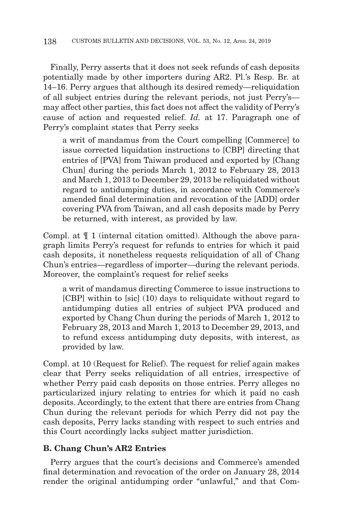Finally, Perry asserts that it does not seek refunds of cash deposits potentially made by other importers during AR2. Pl.'s Resp. Br. at 14–16. Perry argues that although its desired remedy—reliquidation of all subject entries during the relevant periods, not just Perry's may affect other parties, this fact does not affect the validity of Perry's cause of action and requested relief. *Id.* at 17. Paragraph one of Perry's complaint states that Perry seeks

a writ of mandamus from the Court compelling [Commerce] to issue corrected liquidation instructions to [CBP] directing that entries of [PVA] from Taiwan produced and exported by [Chang Chun] during the periods March 1, 2012 to February 28, 2013 and March 1, 2013 to December 29, 2013 be reliquidated without regard to antidumping duties, in accordance with Commerce's amended final determination and revocation of the [ADD] order covering PVA from Taiwan, and all cash deposits made by Perry be returned, with interest, as provided by law.

Compl. at ¶ 1 (internal citation omitted). Although the above paragraph limits Perry's request for refunds to entries for which it paid cash deposits, it nonetheless requests reliquidation of all of Chang Chun's entries—regardless of importer—during the relevant periods. Moreover, the complaint's request for relief seeks

a writ of mandamus directing Commerce to issue instructions to [CBP] within to [sic] (10) days to reliquidate without regard to antidumping duties all entries of subject PVA produced and exported by Chang Chun during the periods of March 1, 2012 to February 28, 2013 and March 1, 2013 to December 29, 2013, and to refund excess antidumping duty deposits, with interest, as provided by law.

Compl. at 10 (Request for Relief). The request for relief again makes clear that Perry seeks reliquidation of all entries, irrespective of whether Perry paid cash deposits on those entries. Perry alleges no particularized injury relating to entries for which it paid no cash deposits. Accordingly, to the extent that there are entries from Chang Chun during the relevant periods for which Perry did not pay the cash deposits, Perry lacks standing with respect to such entries and this Court accordingly lacks subject matter jurisdiction.

## **B. Chang Chun's AR2 Entries**

Perry argues that the court's decisions and Commerce's amended final determination and revocation of the order on January 28, 2014 render the original antidumping order "unlawful," and that Com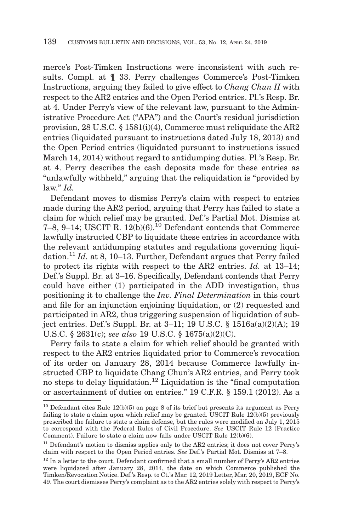merce's Post-Timken Instructions were inconsistent with such results. Compl. at ¶ 33. Perry challenges Commerce's Post-Timken Instructions, arguing they failed to give effect to *Chang Chun II* with respect to the AR2 entries and the Open Period entries. Pl.'s Resp. Br. at 4. Under Perry's view of the relevant law, pursuant to the Administrative Procedure Act ("APA") and the Court's residual jurisdiction provision, 28 U.S.C. § 1581(i)(4), Commerce must reliquidate the AR2 entries (liquidated pursuant to instructions dated July 18, 2013) and the Open Period entries (liquidated pursuant to instructions issued March 14, 2014) without regard to antidumping duties. Pl.'s Resp. Br. at 4. Perry describes the cash deposits made for these entries as "unlawfully withheld," arguing that the reliquidation is "provided by law." *Id.*

Defendant moves to dismiss Perry's claim with respect to entries made during the AR2 period, arguing that Perry has failed to state a claim for which relief may be granted. Def.'s Partial Mot. Dismiss at 7–8, 9–14; USCIT R.  $12(b)(6)$ <sup>10</sup> Defendant contends that Commerce lawfully instructed CBP to liquidate these entries in accordance with the relevant antidumping statutes and regulations governing liquidation.11 *Id.* at 8, 10–13. Further, Defendant argues that Perry failed to protect its rights with respect to the AR2 entries. *Id.* at 13–14; Def.'s Suppl. Br. at 3–16. Specifically, Defendant contends that Perry could have either (1) participated in the ADD investigation, thus positioning it to challenge the *Inv. Final Determination* in this court and file for an injunction enjoining liquidation, or (2) requested and participated in AR2, thus triggering suspension of liquidation of subject entries. Def.'s Suppl. Br. at 3–11; 19 U.S.C. § 1516a(a)(2)(A); 19 U.S.C. § 2631(c); *see also* 19 U.S.C. § 1675(a)(2)(C).

Perry fails to state a claim for which relief should be granted with respect to the AR2 entries liquidated prior to Commerce's revocation of its order on January 28, 2014 because Commerce lawfully instructed CBP to liquidate Chang Chun's AR2 entries, and Perry took no steps to delay liquidation.12 Liquidation is the "final computation or ascertainment of duties on entries." 19 C.F.R. § 159.1 (2012). As a

 $10$  Defendant cites Rule  $12(b)(5)$  on page 8 of its brief but presents its argument as Perry failing to state a claim upon which relief may be granted. USCIT Rule  $12(b)(5)$  previously prescribed the failure to state a claim defense, but the rules were modified on July 1, 2015 to correspond with the Federal Rules of Civil Procedure. *See* USCIT Rule 12 (Practice Comment). Failure to state a claim now falls under USCIT Rule 12(b)(6).

<sup>&</sup>lt;sup>11</sup> Defendant's motion to dismiss applies only to the AR2 entries; it does not cover Perry's claim with respect to the Open Period entries. *See* Def.'s Partial Mot. Dismiss at 7–8.

<sup>&</sup>lt;sup>12</sup> In a letter to the court, Defendant confirmed that a small number of Perry's AR2 entries were liquidated after January 28, 2014, the date on which Commerce published the Timken/Revocation Notice. Def.'s Resp. to Ct.'s Mar. 12, 2019 Letter, Mar. 20, 2019, ECF No. 49. The court dismisses Perry's complaint as to the AR2 entries solely with respect to Perry's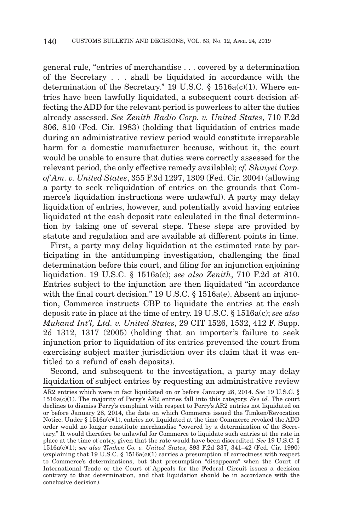general rule, "entries of merchandise . . . covered by a determination of the Secretary . . . shall be liquidated in accordance with the determination of the Secretary." 19 U.S.C. § 1516a(c)(1). Where entries have been lawfully liquidated, a subsequent court decision affecting the ADD for the relevant period is powerless to alter the duties already assessed. *See Zenith Radio Corp. v. United States*, 710 F.2d 806, 810 (Fed. Cir. 1983) (holding that liquidation of entries made during an administrative review period would constitute irreparable harm for a domestic manufacturer because, without it, the court would be unable to ensure that duties were correctly assessed for the relevant period, the only effective remedy available); *cf. Shinyei Corp. of Am. v. United States*, 355 F.3d 1297, 1309 (Fed. Cir. 2004) (allowing a party to seek reliquidation of entries on the grounds that Commerce's liquidation instructions were unlawful). A party may delay liquidation of entries, however, and potentially avoid having entries liquidated at the cash deposit rate calculated in the final determination by taking one of several steps. These steps are provided by statute and regulation and are available at different points in time.

First, a party may delay liquidation at the estimated rate by participating in the antidumping investigation, challenging the final determination before this court, and filing for an injunction enjoining liquidation. 19 U.S.C. § 1516a(c); *see also Zenith*, 710 F.2d at 810. Entries subject to the injunction are then liquidated "in accordance with the final court decision." 19 U.S.C. § 1516a(e). Absent an injunction, Commerce instructs CBP to liquidate the entries at the cash deposit rate in place at the time of entry. 19 U.S.C. § 1516a(c); *see also Mukand Int'l, Ltd. v. United States*, 29 CIT 1526, 1532, 412 F. Supp. 2d 1312, 1317 (2005) (holding that an importer's failure to seek injunction prior to liquidation of its entries prevented the court from exercising subject matter jurisdiction over its claim that it was entitled to a refund of cash deposits).

Second, and subsequent to the investigation, a party may delay liquidation of subject entries by requesting an administrative review

AR2 entries which were in fact liquidated on or before January 28, 2014. *See* 19 U.S.C. § 1516a(c)(1). The majority of Perry's AR2 entries fall into this category. *See id.* The court declines to dismiss Perry's complaint with respect to Perry's AR2 entries not liquidated on or before January 28, 2014, the date on which Commerce issued the Timken/Revocation Notice. Under § 1516a(c)(1), entries not liquidated at the time Commerce revoked the ADD order would no longer constitute merchandise "covered by a determination of the Secretary." It would therefore be unlawful for Commerce to liquidate such entries at the rate in place at the time of entry, given that the rate would have been discredited. *See* 19 U.S.C. § 1516a(c)(1); *see also Timken Co. v. United States*, 893 F.2d 337, 341–42 (Fed. Cir. 1990) (explaining that 19 U.S.C.  $\S$  1516a(c)(1) carries a presumption of correctness with respect to Commerce's determinations, but that presumption "disappears" when the Court of International Trade or the Court of Appeals for the Federal Circuit issues a decision contrary to that determination, and that liquidation should be in accordance with the conclusive decision).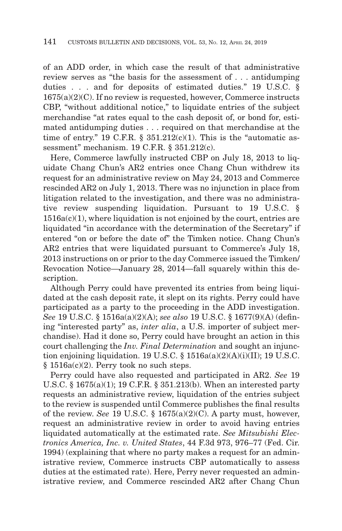of an ADD order, in which case the result of that administrative review serves as "the basis for the assessment of . . . antidumping duties . . . and for deposits of estimated duties." 19 U.S.C. §  $1675(a)(2)(C)$ . If no review is requested, however, Commerce instructs CBP, "without additional notice," to liquidate entries of the subject merchandise "at rates equal to the cash deposit of, or bond for, estimated antidumping duties . . . required on that merchandise at the time of entry." 19 C.F.R.  $\frac{8}{351.212(c)(1)}$ . This is the "automatic assessment" mechanism. 19 C.F.R. § 351.212(c).

Here, Commerce lawfully instructed CBP on July 18, 2013 to liquidate Chang Chun's AR2 entries once Chang Chun withdrew its request for an administrative review on May 24, 2013 and Commerce rescinded AR2 on July 1, 2013. There was no injunction in place from litigation related to the investigation, and there was no administrative review suspending liquidation. Pursuant to 19 U.S.C. §  $1516a(c)(1)$ , where liquidation is not enjoined by the court, entries are liquidated "in accordance with the determination of the Secretary" if entered "on or before the date of" the Timken notice. Chang Chun's AR2 entries that were liquidated pursuant to Commerce's July 18, 2013 instructions on or prior to the day Commerce issued the Timken/ Revocation Notice—January 28, 2014—fall squarely within this description.

Although Perry could have prevented its entries from being liquidated at the cash deposit rate, it slept on its rights. Perry could have participated as a party to the proceeding in the ADD investigation. *See* 19 U.S.C. § 1516a(a)(2)(A); *see also* 19 U.S.C. § 1677(9)(A) (defining "interested party" as, *inter alia*, a U.S. importer of subject merchandise). Had it done so, Perry could have brought an action in this court challenging the *Inv. Final Determination* and sought an injunction enjoining liquidation. 19 U.S.C. §  $1516a(a)(2)(A)(i)(II)$ ; 19 U.S.C. § 1516a(c)(2). Perry took no such steps.

Perry could have also requested and participated in AR2. *See* 19 U.S.C. § 1675(a)(1); 19 C.F.R. § 351.213(b). When an interested party requests an administrative review, liquidation of the entries subject to the review is suspended until Commerce publishes the final results of the review. *See* 19 U.S.C. § 1675(a)(2)(C). A party must, however, request an administrative review in order to avoid having entries liquidated automatically at the estimated rate. *See Mitsubishi Electronics America, Inc. v. United States*, 44 F.3d 973, 976–77 (Fed. Cir. 1994) (explaining that where no party makes a request for an administrative review, Commerce instructs CBP automatically to assess duties at the estimated rate). Here, Perry never requested an administrative review, and Commerce rescinded AR2 after Chang Chun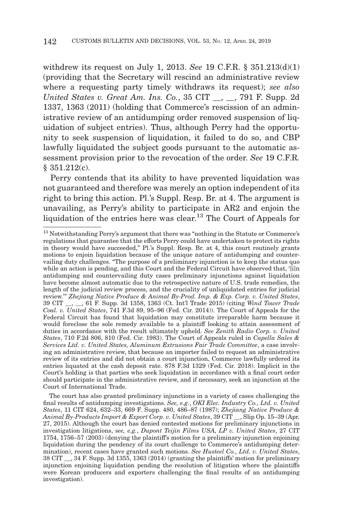withdrew its request on July 1, 2013. *See* 19 C.F.R. § 351.213(d)(1) (providing that the Secretary will rescind an administrative review where a requesting party timely withdraws its request); *see also United States v. Great Am. Ins. Co.*, 35 CIT \_\_, \_\_, 791 F. Supp. 2d 1337, 1363 (2011) (holding that Commerce's rescission of an administrative review of an antidumping order removed suspension of liquidation of subject entries). Thus, although Perry had the opportunity to seek suspension of liquidation, it failed to do so, and CBP lawfully liquidated the subject goods pursuant to the automatic assessment provision prior to the revocation of the order. *See* 19 C.F.R. § 351.212(c).

Perry contends that its ability to have prevented liquidation was not guaranteed and therefore was merely an option independent of its right to bring this action. Pl.'s Suppl. Resp. Br. at 4. The argument is unavailing, as Perry's ability to participate in AR2 and enjoin the liquidation of the entries here was clear.<sup>13</sup> The Court of Appeals for

 The court has also granted preliminary injunctions in a variety of cases challenging the final results of antidumping investigations. *See, e.g.*, *OKI Elec. Industry Co., Ltd. v. United States*, 11 CIT 624, 632–33, 669 F. Supp. 480, 486–87 (1987); *Zhejiang Native Produce & Animal By-Products Import & Export Corp. v. United States*, 39 CIT \_\_, Slip Op. 15–39 (Apr. 27, 2015). Although the court has denied contested motions for preliminary injunctions in investigation litigations, *see, e.g.*, *Dupont Teijin Films USA, LP v. United States*, 27 CIT 1754, 1756–57 (2003) (denying the plaintiff's motion for a preliminary injunction enjoining liquidation during the pendency of its court challenge to Commerce's antidumping determination), recent cases have granted such motions. *See Husteel Co., Ltd. v. United States*, 38 CIT \_\_, 34 F. Supp. 3d 1355, 1363 (2014) (granting the plaintiffs' motion for preliminary injunction enjoining liquidation pending the resolution of litigation where the plaintiffs were Korean producers and exporters challenging the final results of an antidumping investigation).

<sup>13</sup> Notwithstanding Perry's argument that there was "nothing in the Statute or Commerce's regulations that guarantee that the efforts Perry could have undertaken to protect its rights in theory would have succeeded," Pl.'s Suppl. Resp. Br. at 4, this court routinely grants motions to enjoin liquidation because of the unique nature of antidumping and countervailing duty challenges. "The purpose of a preliminary injunction is to keep the status quo while an action is pending, and this Court and the Federal Circuit have observed that, '[i]n antidumping and countervailing duty cases preliminary injunctions against liquidation have become almost automatic due to the retrospective nature of U.S. trade remedies, the length of the judicial review process, and the cruciality of unliquidated entries for judicial review.'" *Zhejiang Native Produce & Animal By-Prod. Imp. & Exp. Corp. v. United States*, , 61 F. Supp. 3d 1358, 1363 (Ct. Int'l Trade 2015) (citing *Wind Tower Trade Coal. v. United States*, 741 F.3d 89, 95–96 (Fed. Cir. 2014)). The Court of Appeals for the Federal Circuit has found that liquidation may constitute irreparable harm because it would foreclose the sole remedy available to a plaintiff looking to attain assessment of duties in accordance with the result ultimately upheld. *See Zenith Radio Corp. v. United States*, 710 F.2d 806, 810 (Fed. Cir. 1983). The Court of Appeals ruled in *Capella Sales & Services Ltd. v. United States, Aluminum Extrusions Fair Trade Committee*, a case involving an administrative review, that because an importer failed to request an administrative review of its entries and did not obtain a court injunction, Commerce lawfully ordered its entries liquated at the cash deposit rate. 878 F.3d 1329 (Fed. Cir. 2018). Implicit in the Court's holding is that parties who seek liquidation in accordance with a final court order should participate in the administrative review, and if necessary, seek an injunction at the Court of International Trade.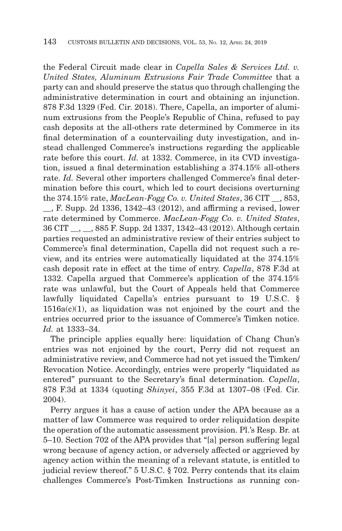the Federal Circuit made clear in *Capella Sales & Services Ltd. v. United States, Aluminum Extrusions Fair Trade Committee* that a party can and should preserve the status quo through challenging the administrative determination in court and obtaining an injunction. 878 F.3d 1329 (Fed. Cir. 2018). There, Capella, an importer of aluminum extrusions from the People's Republic of China, refused to pay cash deposits at the all-others rate determined by Commerce in its final determination of a countervailing duty investigation, and instead challenged Commerce's instructions regarding the applicable rate before this court. *Id.* at 1332. Commerce, in its CVD investigation, issued a final determination establishing a 374.15% all-others rate. *Id.* Several other importers challenged Commerce's final determination before this court, which led to court decisions overturning the 374.15% rate, *MacLean-Fogg Co. v. United States*, 36 CIT \_\_, 853,

\_\_, F. Supp. 2d 1336, 1342–43 (2012), and affirming a revised, lower rate determined by Commerce. *MacLean-Fogg Co. v. United States*, 36 CIT \_\_, \_\_, 885 F. Supp. 2d 1337, 1342–43 (2012). Although certain parties requested an administrative review of their entries subject to Commerce's final determination, Capella did not request such a review, and its entries were automatically liquidated at the 374.15% cash deposit rate in effect at the time of entry. *Capella*, 878 F.3d at 1332. Capella argued that Commerce's application of the 374.15% rate was unlawful, but the Court of Appeals held that Commerce lawfully liquidated Capella's entries pursuant to 19 U.S.C. §  $1516a(c)(1)$ , as liquidation was not enjoined by the court and the entries occurred prior to the issuance of Commerce's Timken notice. *Id.* at 1333–34.

The principle applies equally here: liquidation of Chang Chun's entries was not enjoined by the court, Perry did not request an administrative review, and Commerce had not yet issued the Timken/ Revocation Notice. Accordingly, entries were properly "liquidated as entered" pursuant to the Secretary's final determination. *Capella*, 878 F.3d at 1334 (quoting *Shinyei*, 355 F.3d at 1307–08 (Fed. Cir. 2004).

Perry argues it has a cause of action under the APA because as a matter of law Commerce was required to order reliquidation despite the operation of the automatic assessment provision. Pl.'s Resp. Br. at 5–10. Section 702 of the APA provides that "[a] person suffering legal wrong because of agency action, or adversely affected or aggrieved by agency action within the meaning of a relevant statute, is entitled to judicial review thereof." 5 U.S.C. § 702. Perry contends that its claim challenges Commerce's Post-Timken Instructions as running con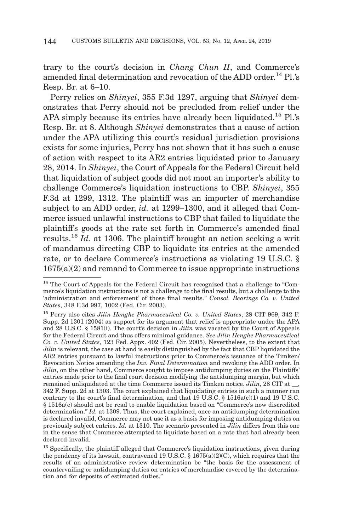trary to the court's decision in *Chang Chun II*, and Commerce's amended final determination and revocation of the ADD order.<sup>14</sup> Pl.'s Resp. Br. at 6–10.

Perry relies on *Shinyei*, 355 F.3d 1297, arguing that *Shinyei* demonstrates that Perry should not be precluded from relief under the APA simply because its entries have already been liquidated.<sup>15</sup> Pl.'s Resp. Br. at 8. Although *Shinyei* demonstrates that a cause of action under the APA utilizing this court's residual jurisdiction provisions exists for some injuries, Perry has not shown that it has such a cause of action with respect to its AR2 entries liquidated prior to January 28, 2014. In *Shinyei*, the Court of Appeals for the Federal Circuit held that liquidation of subject goods did not moot an importer's ability to challenge Commerce's liquidation instructions to CBP. *Shinyei*, 355 F.3d at 1299, 1312. The plaintiff was an importer of merchandise subject to an ADD order, *id.* at 1299–1300, and it alleged that Commerce issued unlawful instructions to CBP that failed to liquidate the plaintiff's goods at the rate set forth in Commerce's amended final results.16 *Id.* at 1306. The plaintiff brought an action seeking a writ of mandamus directing CBP to liquidate its entries at the amended rate, or to declare Commerce's instructions as violating 19 U.S.C. §  $1675(a)(2)$  and remand to Commerce to issue appropriate instructions

<sup>&</sup>lt;sup>14</sup> The Court of Appeals for the Federal Circuit has recognized that a challenge to "Commerce's liquidation instructions is not a challenge to the final results, but a challenge to the 'administration and enforcement' of those final results." *Consol. Bearings Co. v. United States*, 348 F.3d 997, 1002 (Fed. Cir. 2003).

<sup>15</sup> Perry also cites *Jilin Henghe Pharmaceutical Co. v. United States*, 28 CIT 969, 342 F. Supp. 2d 1301 (2004) as support for its argument that relief is appropriate under the APA and 28 U.S.C. § 1581(i). The court's decision in *Jilin* was vacated by the Court of Appeals for the Federal Circuit and thus offers minimal guidance. *See Jilin Henghe Pharmaceutical Co. v. United States*, 123 Fed. Appx. 402 (Fed. Cir. 2005). Nevertheless, to the extent that *Jilin* is relevant, the case at hand is easily distinguished by the fact that CBP liquidated the AR2 entries pursuant to lawful instructions prior to Commerce's issuance of the Timken/ Revocation Notice amending the *Inv. Final Determination* and revoking the ADD order. In *Jilin*, on the other hand, Commerce sought to impose antidumping duties on the Plaintiffs' entries made prior to the final court decision modifying the antidumping margin, but which remained unliquidated at the time Commerce issued its Timken notice. *Jilin*, 28 CIT at \_\_, 342 F. Supp. 2d at 1303. The court explained that liquidating entries in such a manner ran contrary to the court's final determination, and that 19 U.S.C.  $\S$  1516a(c)(1) and 19 U.S.C. § 1516a(e) should not be read to enable liquidation based on "Commerce's now discredited determination." *Id.* at 1309. Thus, the court explained, once an antidumping determination is declared invalid, Commerce may not use it as a basis for imposing antidumping duties on previously subject entries. *Id.* at 1310. The scenario presented in *Jilin* differs from this one in the sense that Commerce attempted to liquidate based on a rate that had already been declared invalid.

<sup>16</sup> Specifically, the plaintiff alleged that Commerce's liquidation instructions, given during the pendency of its lawsuit, contravened 19 U.S.C.  $\S 1675(a)(2)(C)$ , which requires that the results of an administrative review determination be "the basis for the assessment of countervailing or antidumping duties on entries of merchandise covered by the determination and for deposits of estimated duties."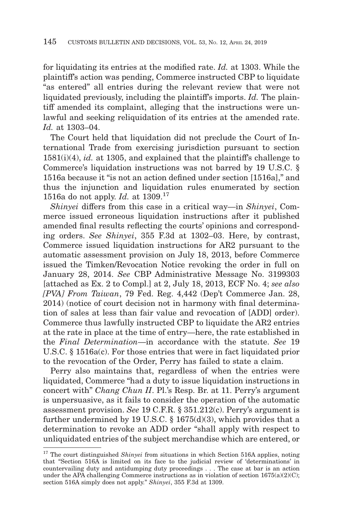for liquidating its entries at the modified rate. *Id.* at 1303. While the plaintiff's action was pending, Commerce instructed CBP to liquidate "as entered" all entries during the relevant review that were not liquidated previously, including the plaintiff's imports. *Id.* The plaintiff amended its complaint, alleging that the instructions were unlawful and seeking reliquidation of its entries at the amended rate. *Id.* at 1303–04.

The Court held that liquidation did not preclude the Court of International Trade from exercising jurisdiction pursuant to section 1581(i)(4), *id.* at 1305, and explained that the plaintiff's challenge to Commerce's liquidation instructions was not barred by 19 U.S.C. § 1516a because it "is not an action defined under section [1516a]," and thus the injunction and liquidation rules enumerated by section 1516a do not apply. *Id.* at 1309.17

*Shinyei* differs from this case in a critical way—in *Shinyei*, Commerce issued erroneous liquidation instructions after it published amended final results reflecting the courts' opinions and corresponding orders. *See Shinyei*, 355 F.3d at 1302–03. Here, by contrast, Commerce issued liquidation instructions for AR2 pursuant to the automatic assessment provision on July 18, 2013, before Commerce issued the Timken/Revocation Notice revoking the order in full on January 28, 2014. *See* CBP Administrative Message No. 3199303 [attached as Ex. 2 to Compl.] at 2, July 18, 2013, ECF No. 4; *see also [PVA] From Taiwan*, 79 Fed. Reg. 4,442 (Dep't Commerce Jan. 28, 2014) (notice of court decision not in harmony with final determination of sales at less than fair value and revocation of [ADD] order). Commerce thus lawfully instructed CBP to liquidate the AR2 entries at the rate in place at the time of entry—here, the rate established in the *Final Determination*—in accordance with the statute. *See* 19 U.S.C. § 1516a(c). For those entries that were in fact liquidated prior to the revocation of the Order, Perry has failed to state a claim.

Perry also maintains that, regardless of when the entries were liquidated, Commerce "had a duty to issue liquidation instructions in concert with" *Chang Chun II*. Pl.'s Resp. Br. at 11. Perry's argument is unpersuasive, as it fails to consider the operation of the automatic assessment provision. *See* 19 C.F.R. § 351.212(c). Perry's argument is further undermined by 19 U.S.C. § 1675(d)(3), which provides that a determination to revoke an ADD order "shall apply with respect to unliquidated entries of the subject merchandise which are entered, or

<sup>&</sup>lt;sup>17</sup> The court distinguished *Shinyei* from situations in which Section 516A applies, noting that "Section 516A is limited on its face to the judicial review of 'determinations' in countervailing duty and antidumping duty proceedings . . . The case at bar is an action under the APA challenging Commerce instructions as in violation of section  $1675(a)(2)(C)$ ; section 516A simply does not apply." *Shinyei*, 355 F.3d at 1309.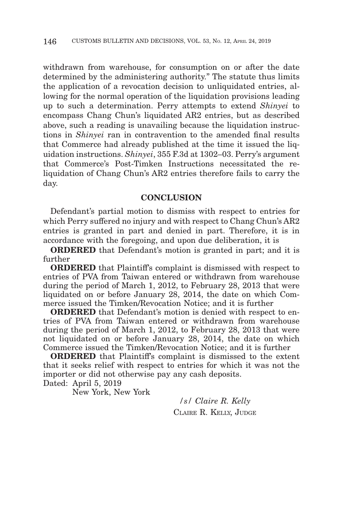withdrawn from warehouse, for consumption on or after the date determined by the administering authority." The statute thus limits the application of a revocation decision to unliquidated entries, allowing for the normal operation of the liquidation provisions leading up to such a determination. Perry attempts to extend *Shinyei* to encompass Chang Chun's liquidated AR2 entries, but as described above, such a reading is unavailing because the liquidation instructions in *Shinyei* ran in contravention to the amended final results that Commerce had already published at the time it issued the liquidation instructions. *Shinyei*, 355 F.3d at 1302–03. Perry's argument that Commerce's Post-Timken Instructions necessitated the reliquidation of Chang Chun's AR2 entries therefore fails to carry the day.

## **CONCLUSION**

Defendant's partial motion to dismiss with respect to entries for which Perry suffered no injury and with respect to Chang Chun's AR2 entries is granted in part and denied in part. Therefore, it is in accordance with the foregoing, and upon due deliberation, it is

**ORDERED** that Defendant's motion is granted in part; and it is further

**ORDERED** that Plaintiff's complaint is dismissed with respect to entries of PVA from Taiwan entered or withdrawn from warehouse during the period of March 1, 2012, to February 28, 2013 that were liquidated on or before January 28, 2014, the date on which Commerce issued the Timken/Revocation Notice; and it is further

**ORDERED** that Defendant's motion is denied with respect to entries of PVA from Taiwan entered or withdrawn from warehouse during the period of March 1, 2012, to February 28, 2013 that were not liquidated on or before January 28, 2014, the date on which Commerce issued the Timken/Revocation Notice; and it is further

**ORDERED** that Plaintiff's complaint is dismissed to the extent that it seeks relief with respect to entries for which it was not the importer or did not otherwise pay any cash deposits. Dated: April 5, 2019

New York, New York

*/s/ Claire R. Kelly* CLAIRE R. KELLY, JUDGE